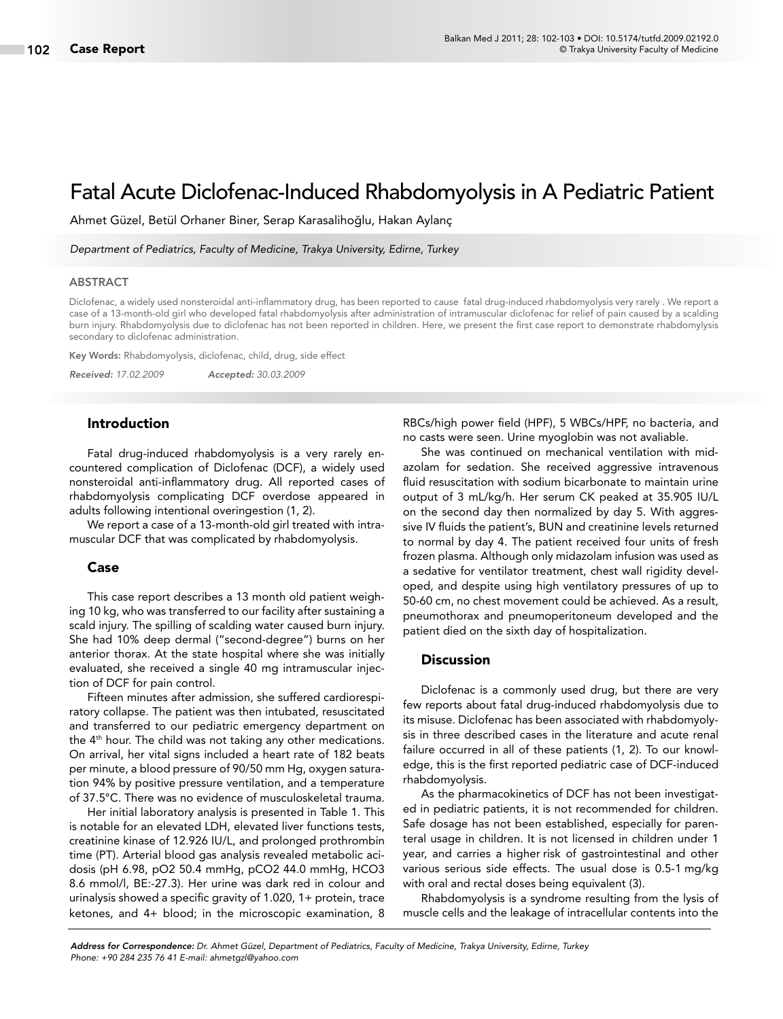# Fatal Acute Diclofenac-Induced Rhabdomyolysis in A Pediatric Patient

Ahmet Güzel, Betül Orhaner Biner, Serap Karasalihoğlu, Hakan Aylanç

*Department of Pediatrics, Faculty of Medicine, Trakya University, Edirne, Turkey*

#### ABSTRACT

Diclofenac, a widely used nonsteroidal anti-inflammatory drug, has been reported to cause fatal drug-induced rhabdomyolysis very rarely . We report a case of a 13-month-old girl who developed fatal rhabdomyolysis after administration of intramuscular diclofenac for relief of pain caused by a scalding burn injury. Rhabdomyolysis due to diclofenac has not been reported in children. Here, we present the first case report to demonstrate rhabdomylysis secondary to diclofenac administration.

Key Words: Rhabdomyolysis, diclofenac, child, drug, side effect

*Received: 17.02.2009 Accepted: 30.03.2009*

# Introduction

Fatal drug-induced rhabdomyolysis is a very rarely encountered complication of Diclofenac (DCF), a widely used nonsteroidal anti-inflammatory drug. All reported cases of rhabdomyolysis complicating DCF overdose appeared in adults following intentional overingestion (1, 2).

We report a case of a 13-month-old girl treated with intramuscular DCF that was complicated by rhabdomyolysis.

#### Case

This case report describes a 13 month old patient weighing 10 kg, who was transferred to our facility after sustaining a scald injury. The spilling of scalding water caused burn injury. She had 10% deep dermal ("second-degree") burns on her anterior thorax. At the state hospital where she was initially evaluated, she received a single 40 mg intramuscular injection of DCF for pain control.

Fifteen minutes after admission, she suffered cardiorespiratory collapse. The patient was then intubated, resuscitated and transferred to our pediatric emergency department on the 4<sup>th</sup> hour. The child was not taking any other medications. On arrival, her vital signs included a heart rate of 182 beats per minute, a blood pressure of 90/50 mm Hg, oxygen saturation 94% by positive pressure ventilation, and a temperature of 37.5°C. There was no evidence of musculoskeletal trauma.

Her initial laboratory analysis is presented in Table 1. This is notable for an elevated LDH, elevated liver functions tests, creatinine kinase of 12.926 IU/L, and prolonged prothrombin time (PT). Arterial blood gas analysis revealed metabolic acidosis (pH 6.98, pO2 50.4 mmHg, pCO2 44.0 mmHg, HCO3 8.6 mmol/l, BE:-27.3). Her urine was dark red in colour and urinalysis showed a specific gravity of 1.020, 1+ protein, trace ketones, and 4+ blood; in the microscopic examination, 8 RBCs/high power field (HPF), 5 WBCs/HPF, no bacteria, and no casts were seen. Urine myoglobin was not avaliable.

She was continued on mechanical ventilation with midazolam for sedation. She received aggressive intravenous fluid resuscitation with sodium bicarbonate to maintain urine output of 3 mL/kg/h. Her serum CK peaked at 35.905 IU/L on the second day then normalized by day 5. With aggressive IV fluids the patient's, BUN and creatinine levels returned to normal by day 4. The patient received four units of fresh frozen plasma. Although only midazolam infusion was used as a sedative for ventilator treatment, chest wall rigidity developed, and despite using high ventilatory pressures of up to 50-60 cm, no chest movement could be achieved. As a result, pneumothorax and pneumoperitoneum developed and the patient died on the sixth day of hospitalization.

## **Discussion**

Diclofenac is a commonly used drug, but there are very few reports about fatal drug-induced rhabdomyolysis due to its misuse. Diclofenac has been associated with rhabdomyolysis in three described cases in the literature and acute renal failure occurred in all of these patients (1, 2). To our knowledge, this is the first reported pediatric case of DCF-induced rhabdomyolysis.

As the pharmacokinetics of DCF has not been investigated in pediatric patients, it is not recommended for children. Safe dosage has not been established, especially for parenteral usage in children. It is not licensed in children under 1 year, and carries a higher risk of gastrointestinal and other various serious side effects. The usual dose is 0.5-1 mg/kg with oral and rectal doses being equivalent (3).

Rhabdomyolysis is a syndrome resulting from the lysis of muscle cells and the leakage of intracellular contents into the

*Address for Correspondence: Dr. Ahmet Güzel, Department of Pediatrics, Faculty of Medicine, Trakya University, Edirne, Turkey Phone: +90 284 235 76 41 E-mail: ahmetgzl@yahoo.com*